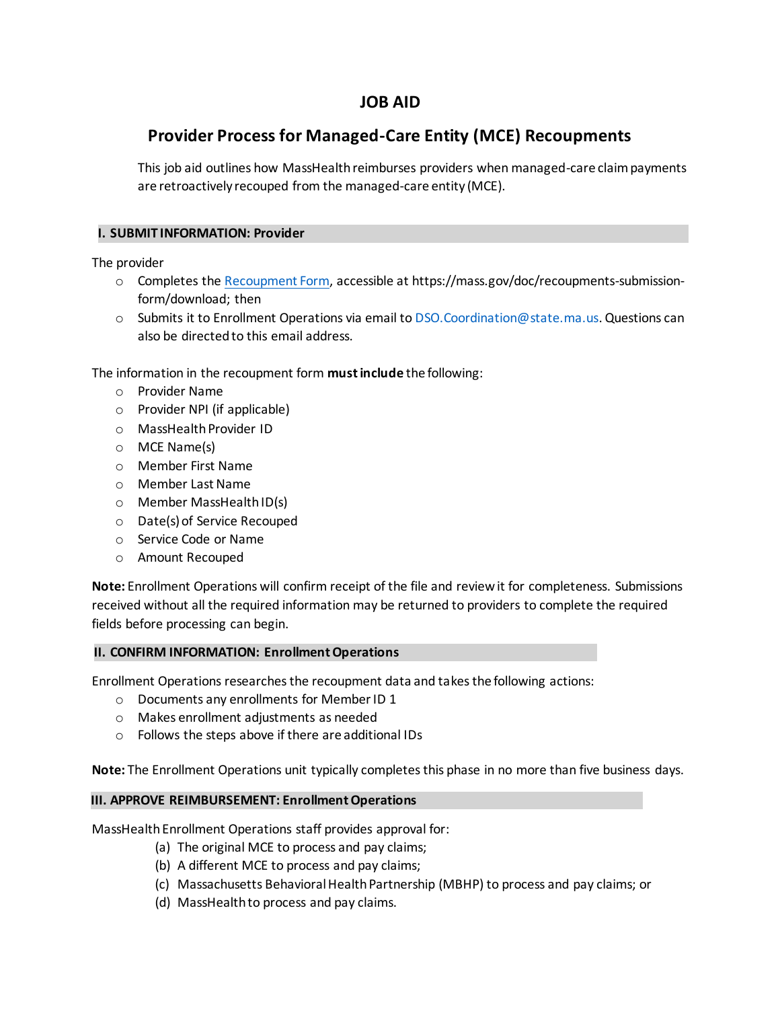## **JOB AID**

# **Provider Process for Managed-Care Entity (MCE) Recoupments**

This job aid outlines how MassHealth reimburses providers when managed-care claim payments are retroactively recouped from the managed-care entity (MCE).

#### **I. SUBMIT INFORMATION: Provider**

The provider

- o Completes th[e Recoupment Form,](https://mass.gov/doc/recoupments-submission-form/download) accessible at https://mass.gov/doc/recoupments-submissionform/download; then
- o Submits it to Enrollment Operations via email t[o DSO.Coordination@state.ma.us](mailto:DSO.Coordination@state.ma.us). Questions can also be directed to this email address.

The information in the recoupment form **must include** the following:

- o Provider Name
- o Provider NPI (if applicable)
- o MassHealth Provider ID
- o MCE Name(s)
- o Member First Name
- o Member Last Name
- o Member MassHealth ID(s)
- o Date(s) of Service Recouped
- o Service Code or Name
- o Amount Recouped

**Note:** Enrollment Operations will confirm receipt of the file and review it for completeness. Submissions received without all the required information may be returned to providers to complete the required fields before processing can begin.

#### **II. CONFIRM INFORMATION: Enrollment Operations**

Enrollment Operations researches the recoupment data and takes the following actions:

- o Documents any enrollments for Member ID 1
- o Makes enrollment adjustments as needed
- o Follows the steps above if there are additional IDs

**Note:** The Enrollment Operations unit typically completes this phase in no more than five business days.

#### **III. APPROVE REIMBURSEMENT: Enrollment Operations**

MassHealth Enrollment Operations staff provides approval for:

- (a) The original MCE to process and pay claims;
- (b) A different MCE to process and pay claims;
- (c) Massachusetts Behavioral Health Partnership (MBHP) to process and pay claims; or
- (d) MassHealth to process and pay claims.